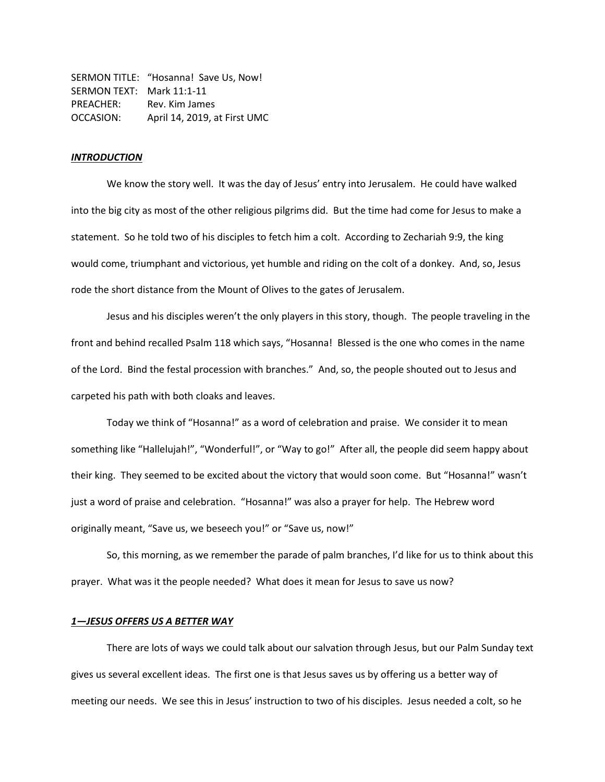|                           | SERMON TITLE: "Hosanna! Save Us, Now! |
|---------------------------|---------------------------------------|
| SERMON TEXT: Mark 11:1-11 |                                       |
| PREACHER:                 | Rev. Kim James                        |
| OCCASION:                 | April 14, 2019, at First UMC          |

## *INTRODUCTION*

We know the story well. It was the day of Jesus' entry into Jerusalem. He could have walked into the big city as most of the other religious pilgrims did. But the time had come for Jesus to make a statement. So he told two of his disciples to fetch him a colt. According to Zechariah 9:9, the king would come, triumphant and victorious, yet humble and riding on the colt of a donkey. And, so, Jesus rode the short distance from the Mount of Olives to the gates of Jerusalem.

Jesus and his disciples weren't the only players in this story, though. The people traveling in the front and behind recalled Psalm 118 which says, "Hosanna! Blessed is the one who comes in the name of the Lord. Bind the festal procession with branches." And, so, the people shouted out to Jesus and carpeted his path with both cloaks and leaves.

Today we think of "Hosanna!" as a word of celebration and praise. We consider it to mean something like "Hallelujah!", "Wonderful!", or "Way to go!" After all, the people did seem happy about their king. They seemed to be excited about the victory that would soon come. But "Hosanna!" wasn't just a word of praise and celebration. "Hosanna!" was also a prayer for help. The Hebrew word originally meant, "Save us, we beseech you!" or "Save us, now!"

So, this morning, as we remember the parade of palm branches, I'd like for us to think about this prayer. What was it the people needed? What does it mean for Jesus to save us now?

# *1—JESUS OFFERS US A BETTER WAY*

There are lots of ways we could talk about our salvation through Jesus, but our Palm Sunday text gives us several excellent ideas. The first one is that Jesus saves us by offering us a better way of meeting our needs. We see this in Jesus' instruction to two of his disciples. Jesus needed a colt, so he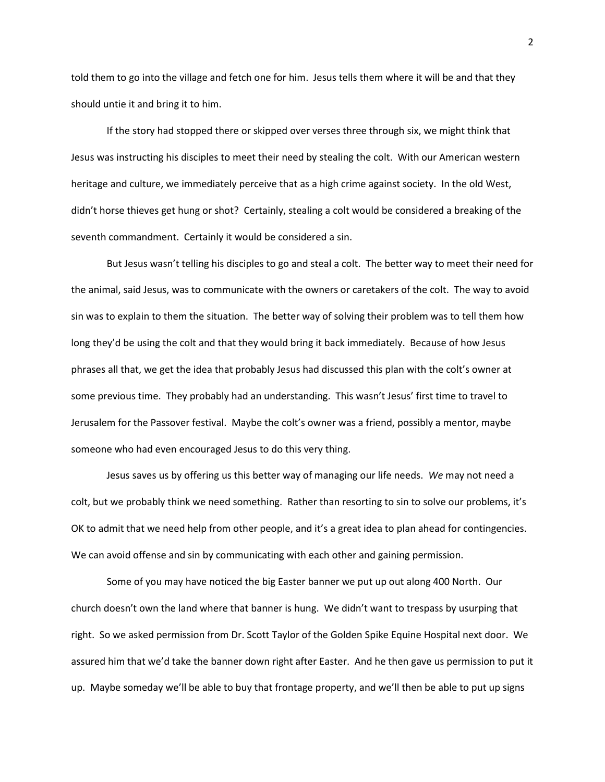told them to go into the village and fetch one for him. Jesus tells them where it will be and that they should untie it and bring it to him.

If the story had stopped there or skipped over verses three through six, we might think that Jesus was instructing his disciples to meet their need by stealing the colt. With our American western heritage and culture, we immediately perceive that as a high crime against society. In the old West, didn't horse thieves get hung or shot? Certainly, stealing a colt would be considered a breaking of the seventh commandment. Certainly it would be considered a sin.

But Jesus wasn't telling his disciples to go and steal a colt. The better way to meet their need for the animal, said Jesus, was to communicate with the owners or caretakers of the colt. The way to avoid sin was to explain to them the situation. The better way of solving their problem was to tell them how long they'd be using the colt and that they would bring it back immediately. Because of how Jesus phrases all that, we get the idea that probably Jesus had discussed this plan with the colt's owner at some previous time. They probably had an understanding. This wasn't Jesus' first time to travel to Jerusalem for the Passover festival. Maybe the colt's owner was a friend, possibly a mentor, maybe someone who had even encouraged Jesus to do this very thing.

Jesus saves us by offering us this better way of managing our life needs. *We* may not need a colt, but we probably think we need something. Rather than resorting to sin to solve our problems, it's OK to admit that we need help from other people, and it's a great idea to plan ahead for contingencies. We can avoid offense and sin by communicating with each other and gaining permission.

Some of you may have noticed the big Easter banner we put up out along 400 North. Our church doesn't own the land where that banner is hung. We didn't want to trespass by usurping that right. So we asked permission from Dr. Scott Taylor of the Golden Spike Equine Hospital next door. We assured him that we'd take the banner down right after Easter. And he then gave us permission to put it up. Maybe someday we'll be able to buy that frontage property, and we'll then be able to put up signs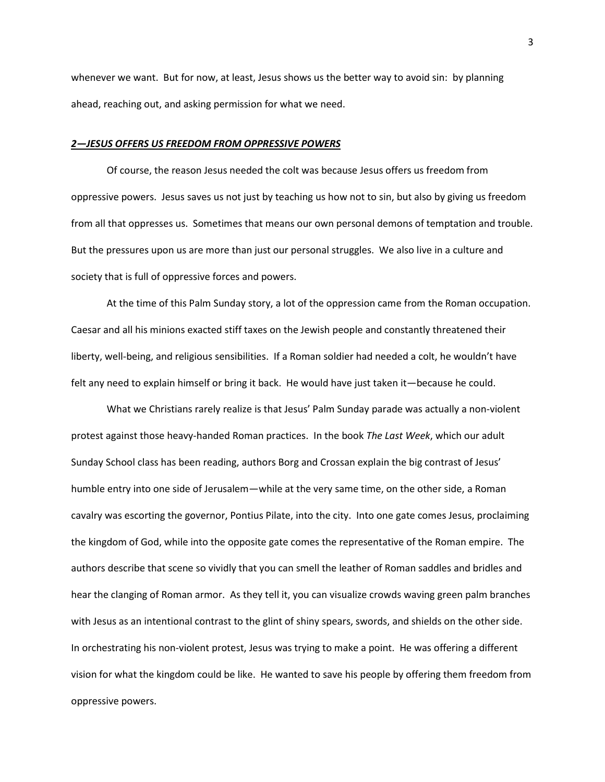whenever we want. But for now, at least, Jesus shows us the better way to avoid sin: by planning ahead, reaching out, and asking permission for what we need.

#### *2—JESUS OFFERS US FREEDOM FROM OPPRESSIVE POWERS*

Of course, the reason Jesus needed the colt was because Jesus offers us freedom from oppressive powers. Jesus saves us not just by teaching us how not to sin, but also by giving us freedom from all that oppresses us. Sometimes that means our own personal demons of temptation and trouble. But the pressures upon us are more than just our personal struggles. We also live in a culture and society that is full of oppressive forces and powers.

At the time of this Palm Sunday story, a lot of the oppression came from the Roman occupation. Caesar and all his minions exacted stiff taxes on the Jewish people and constantly threatened their liberty, well-being, and religious sensibilities. If a Roman soldier had needed a colt, he wouldn't have felt any need to explain himself or bring it back. He would have just taken it—because he could.

What we Christians rarely realize is that Jesus' Palm Sunday parade was actually a non-violent protest against those heavy-handed Roman practices. In the book *The Last Week*, which our adult Sunday School class has been reading, authors Borg and Crossan explain the big contrast of Jesus' humble entry into one side of Jerusalem—while at the very same time, on the other side, a Roman cavalry was escorting the governor, Pontius Pilate, into the city. Into one gate comes Jesus, proclaiming the kingdom of God, while into the opposite gate comes the representative of the Roman empire. The authors describe that scene so vividly that you can smell the leather of Roman saddles and bridles and hear the clanging of Roman armor. As they tell it, you can visualize crowds waving green palm branches with Jesus as an intentional contrast to the glint of shiny spears, swords, and shields on the other side. In orchestrating his non-violent protest, Jesus was trying to make a point. He was offering a different vision for what the kingdom could be like. He wanted to save his people by offering them freedom from oppressive powers.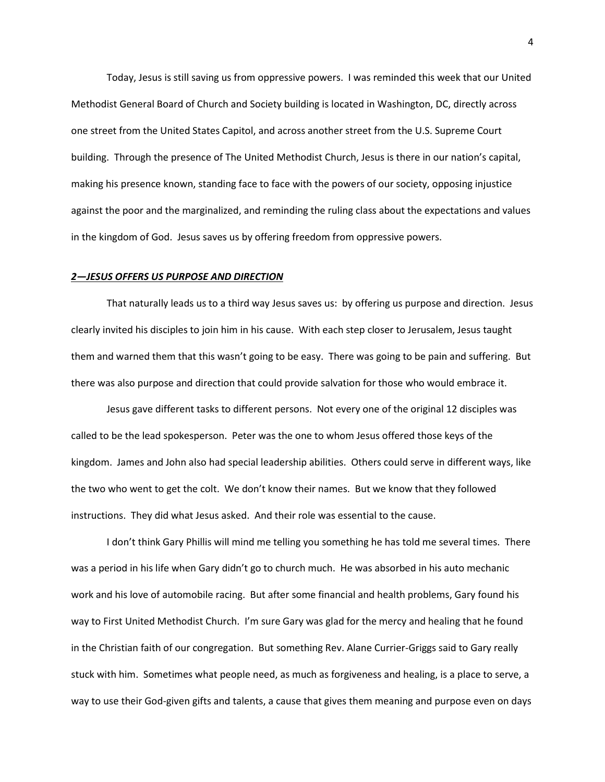Today, Jesus is still saving us from oppressive powers. I was reminded this week that our United Methodist General Board of Church and Society building is located in Washington, DC, directly across one street from the United States Capitol, and across another street from the U.S. Supreme Court building. Through the presence of The United Methodist Church, Jesus is there in our nation's capital, making his presence known, standing face to face with the powers of our society, opposing injustice against the poor and the marginalized, and reminding the ruling class about the expectations and values in the kingdom of God. Jesus saves us by offering freedom from oppressive powers.

## *2—JESUS OFFERS US PURPOSE AND DIRECTION*

That naturally leads us to a third way Jesus saves us: by offering us purpose and direction. Jesus clearly invited his disciples to join him in his cause. With each step closer to Jerusalem, Jesus taught them and warned them that this wasn't going to be easy. There was going to be pain and suffering. But there was also purpose and direction that could provide salvation for those who would embrace it.

Jesus gave different tasks to different persons. Not every one of the original 12 disciples was called to be the lead spokesperson. Peter was the one to whom Jesus offered those keys of the kingdom. James and John also had special leadership abilities. Others could serve in different ways, like the two who went to get the colt. We don't know their names. But we know that they followed instructions. They did what Jesus asked. And their role was essential to the cause.

I don't think Gary Phillis will mind me telling you something he has told me several times. There was a period in his life when Gary didn't go to church much. He was absorbed in his auto mechanic work and his love of automobile racing. But after some financial and health problems, Gary found his way to First United Methodist Church. I'm sure Gary was glad for the mercy and healing that he found in the Christian faith of our congregation. But something Rev. Alane Currier-Griggs said to Gary really stuck with him. Sometimes what people need, as much as forgiveness and healing, is a place to serve, a way to use their God-given gifts and talents, a cause that gives them meaning and purpose even on days